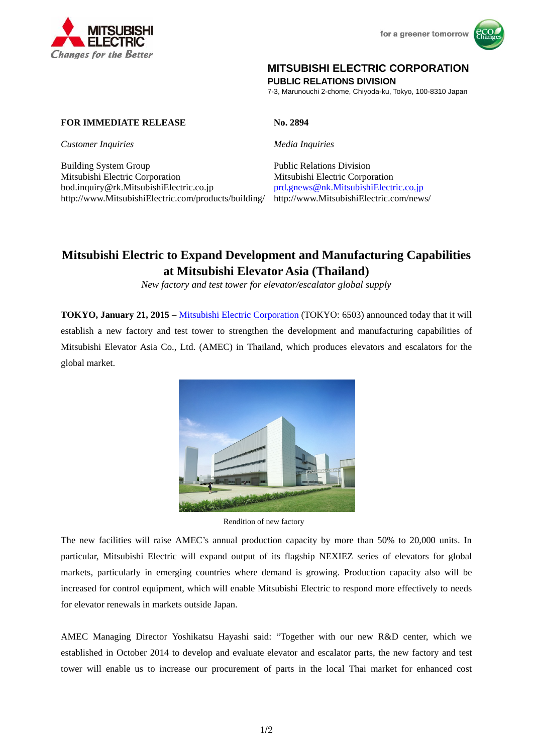



## **MITSUBISHI ELECTRIC CORPORATION**

**PUBLIC RELATIONS DIVISION** 

7-3, Marunouchi 2-chome, Chiyoda-ku, Tokyo, 100-8310 Japan

## **FOR IMMEDIATE RELEASE No. 2894**

*Customer Inquiries Media Inquiries* 

Building System Group Public Relations Division Mitsubishi Electric Corporation Mitsubishi Electric Corporation bod.inquiry@rk.MitsubishiElectric.co.jp prd.gnews@nk.MitsubishiElectric.co.jp http://www.MitsubishiElectric.com/products/building/ http://www.MitsubishiElectric.com/news/

# **Mitsubishi Electric to Expand Development and Manufacturing Capabilities at Mitsubishi Elevator Asia (Thailand)**

*New factory and test tower for elevator/escalator global supply* 

**TOKYO, January 21, 2015** – Mitsubishi Electric Corporation (TOKYO: 6503) announced today that it will establish a new factory and test tower to strengthen the development and manufacturing capabilities of Mitsubishi Elevator Asia Co., Ltd. (AMEC) in Thailand, which produces elevators and escalators for the global market.



Rendition of new factory

The new facilities will raise AMEC's annual production capacity by more than 50% to 20,000 units. In particular, Mitsubishi Electric will expand output of its flagship NEXIEZ series of elevators for global markets, particularly in emerging countries where demand is growing. Production capacity also will be increased for control equipment, which will enable Mitsubishi Electric to respond more effectively to needs for elevator renewals in markets outside Japan.

AMEC Managing Director Yoshikatsu Hayashi said: "Together with our new R&D center, which we established in October 2014 to develop and evaluate elevator and escalator parts, the new factory and test tower will enable us to increase our procurement of parts in the local Thai market for enhanced cost